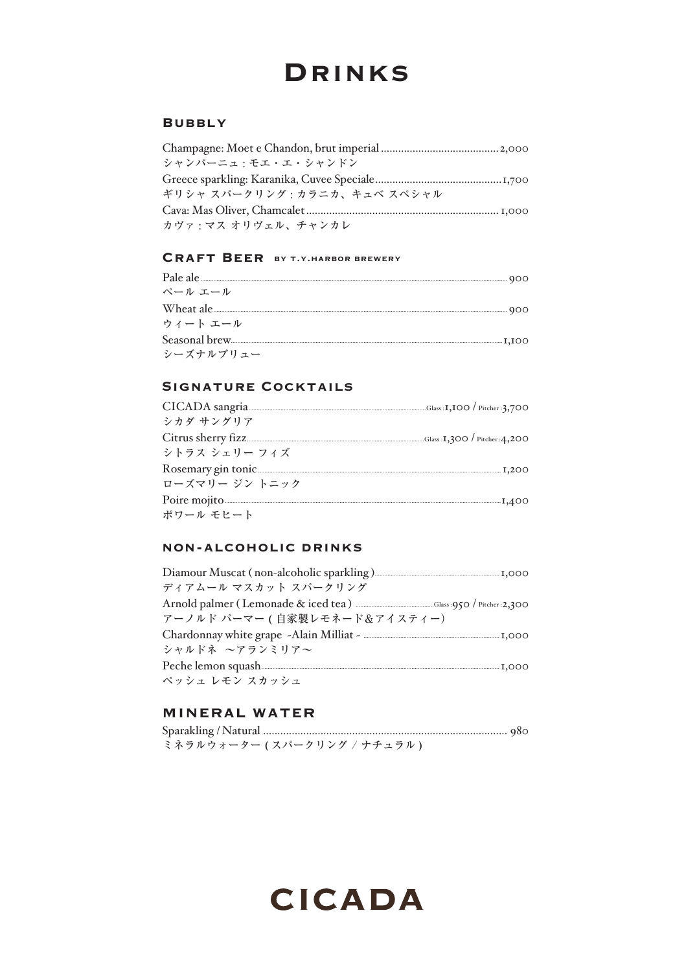# **DRINKS**

#### **BUBBLY**

| シャンパーニュ・モエ・エ・シャンドン          |  |
|-----------------------------|--|
|                             |  |
| ギリシャ スパークリング・カラニカ、キュベ スペシャル |  |
|                             |  |
| カヴァ : マス オリヴェル、チャンカレ        |  |

#### **CRAFT BEER BY T.Y.HARBOR BREWERY**

| ペール エール       |  |
|---------------|--|
| Wheat ale 300 |  |
| ウィート エール      |  |
|               |  |
| シーズナルブリュー     |  |

#### **SIGNATURE COCKTAILS**

| シカダ サングリア      |  |
|----------------|--|
|                |  |
| シトラス シェリー フィズ  |  |
|                |  |
| ローズマリー ジン トニック |  |
|                |  |
| ポワール モヒート      |  |

#### **NON-ALCOHOLIC DRINKS**

| Diamour Muscat (non-alcoholic sparkling)                                                                                                                                                                                      |  |
|-------------------------------------------------------------------------------------------------------------------------------------------------------------------------------------------------------------------------------|--|
| ディアムール マスカット スパークリング                                                                                                                                                                                                          |  |
|                                                                                                                                                                                                                               |  |
| アーノルド パーマー ( 自家製レモネード&アイスティー)                                                                                                                                                                                                 |  |
|                                                                                                                                                                                                                               |  |
| シャルドネ ~アランミリア~                                                                                                                                                                                                                |  |
| Peche lemon squash The Technical District District District District District District District District District District District District District District District District District District District District District |  |
| ペッシュ レモン スカッシュ                                                                                                                                                                                                                |  |

#### MINERAL WATER

| ミネラルウォーター (スパークリング / ナチュラル ) |  |
|------------------------------|--|

**CICADA**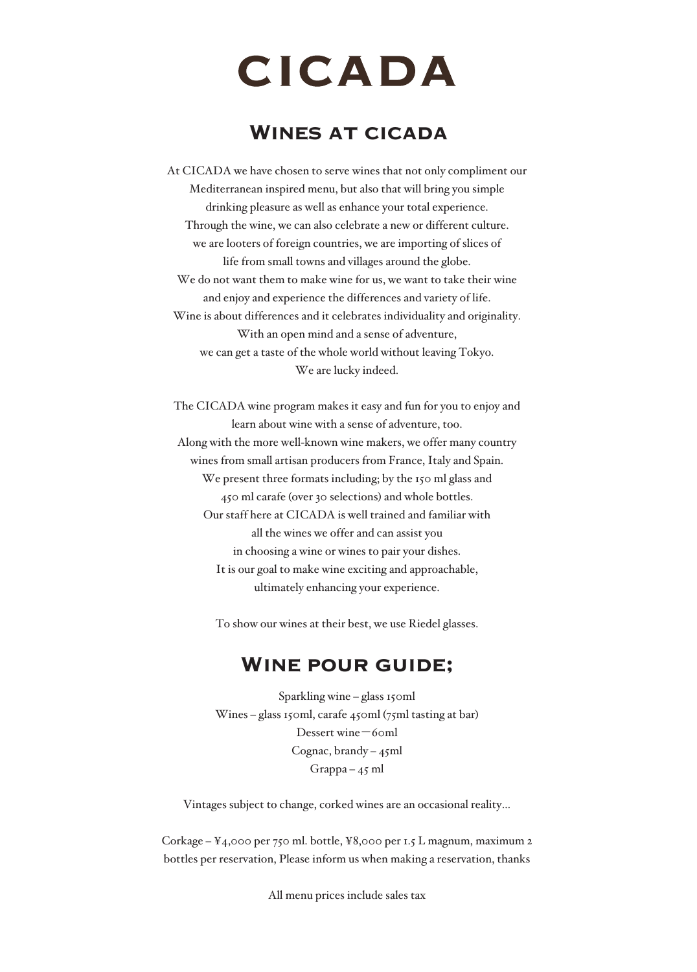# **CICADA**

### Wines at cicada

At CICADA we have chosen to serve wines that not only compliment our Mediterranean inspired menu, but also that will bring you simple drinking pleasure as well as enhance your total experience. Through the wine, we can also celebrate a new or different culture. we are looters of foreign countries, we are importing of slices of life from small towns and villages around the globe. We do not want them to make wine for us, we want to take their wine and enjoy and experience the differences and variety of life. Wine is about differences and it celebrates individuality and originality. With an open mind and a sense of adventure, we can get a taste of the whole world without leaving Tokyo. We are lucky indeed.

The CICADA wine program makes it easy and fun for you to enjoy and learn about wine with a sense of adventure, too. Along with the more well-known wine makers, we offer many country wines from small artisan producers from France, Italy and Spain. We present three formats including; by the 150 ml glass and 450 ml carafe (over 30 selections) and whole bottles. Our staff here at CICADA is well trained and familiar with all the wines we offer and can assist you in choosing a wine or wines to pair your dishes. It is our goal to make wine exciting and approachable, ultimately enhancing your experience.

To show our wines at their best, we use Riedel glasses.

#### Wine pour guide;

Sparkling wine – glass 150ml Wines – glass 150ml, carafe 450ml (75ml tasting at bar) Dessert wine-60ml Cognac, brandy –  $45$ ml  $Grapha - 45$  ml

Vintages subject to change, corked wines are an occasional reality…

Corkage – ¥4,000 per 750 ml. bottle, ¥8,000 per 1.5 L magnum, maximum 2 bottles per reservation, Please inform us when making a reservation, thanks

All menu prices include sales tax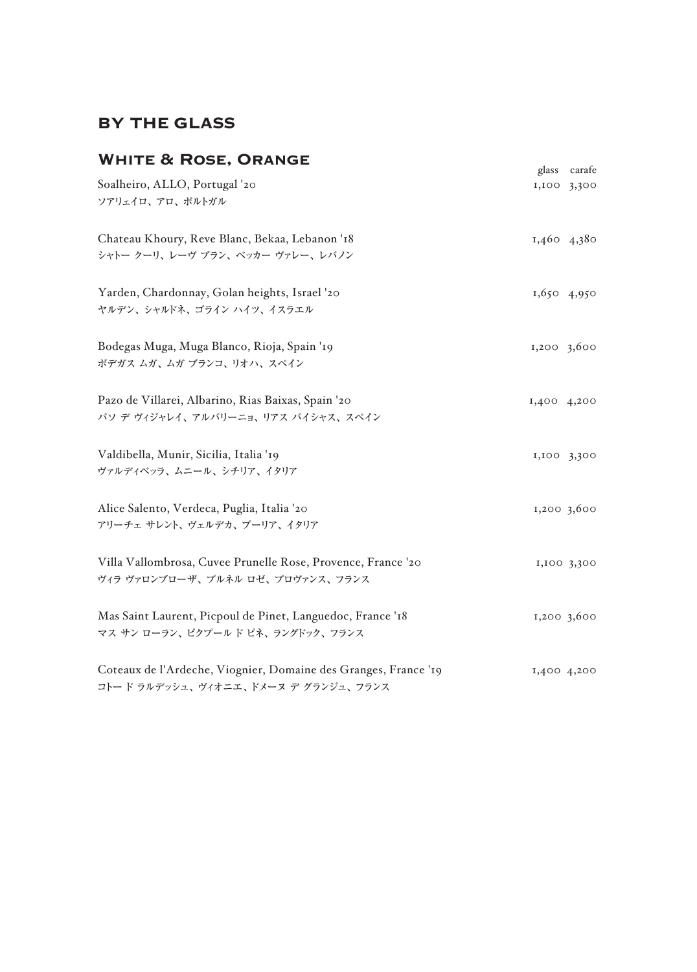# BY THE GLASS

| <b>WHITE &amp; ROSE, ORANGE</b>                                                                        | glass       | carafe        |
|--------------------------------------------------------------------------------------------------------|-------------|---------------|
| Soalheiro, ALLO, Portugal '20<br>ソアリェイロ、アロ、ポルトガル                                                       |             | 1,100 3,300   |
| Chateau Khoury, Reve Blanc, Bekaa, Lebanon '18<br>シャトー クーリ、レーヴ ブラン、ベッカー ヴァレー、レバノン                      |             | 1,460 4,380   |
| Yarden, Chardonnay, Golan heights, Israel '20<br>ヤルデン、シャルドネ、ゴライン ハイツ、イスラエル                             |             | $1,650$ 4,950 |
| Bodegas Muga, Muga Blanco, Rioja, Spain '19<br>ボデガス ムガ、ムガ ブランコ、リオハ、スペイン                                | 1,200,3,600 |               |
| Pazo de Villarei, Albarino, Rias Baixas, Spain '20<br>パソ デ ヴィジャレイ、アルバリーニョ、リアス バイシャス、スペイン               | 1,400 4,200 |               |
| Valdibella, Munir, Sicilia, Italia '19<br>ヴァルディベッラ、ムニール、シチリア、イタリア                                      |             | 1,100 3,300   |
| Alice Salento, Verdeca, Puglia, Italia '20<br>アリーチェ サレント、ヴェルデカ、プーリア、イタリア                               |             | 1,200 3,600   |
| Villa Vallombrosa, Cuvee Prunelle Rose, Provence, France '20<br>ヴィラ ヴァロンブローザ、プルネル ロゼ、プロヴァンス、フランス       |             | 1,100 3,300   |
| Mas Saint Laurent, Picpoul de Pinet, Languedoc, France '18<br>マス サン ローラン、ピクプールド ピネ、ラングドック、フランス         |             | 1,200,3,600   |
| Coteaux de l'Ardeche, Viognier, Domaine des Granges, France '19<br>コトード ラルデッシュ、ヴィオニエ、ドメーヌ デ グランジュ、フランス |             | 1,400 4,200   |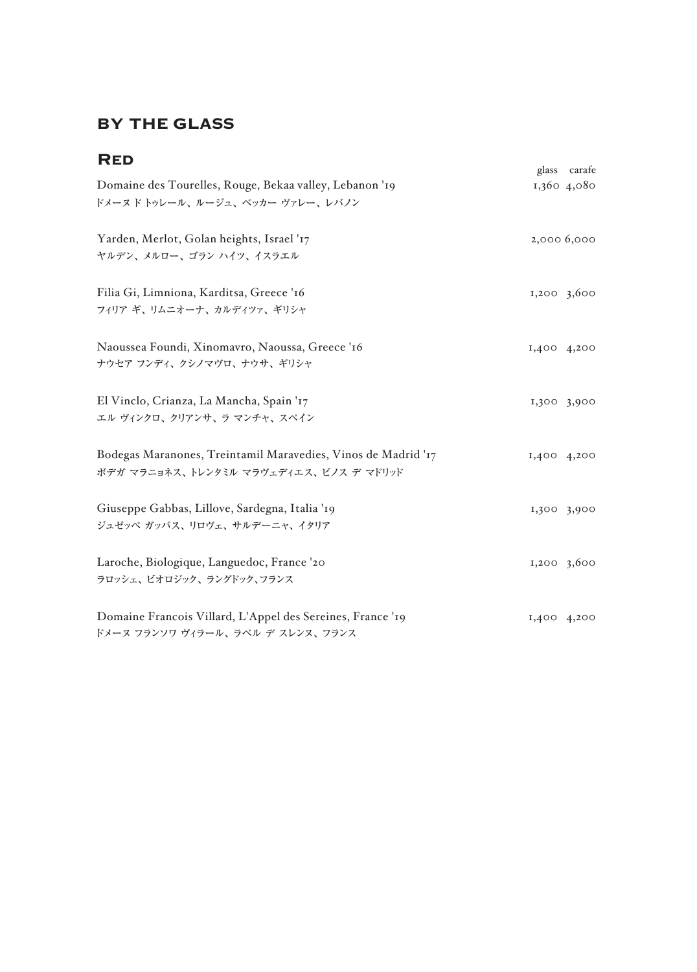# BY THE GLASS

| <b>RED</b>                                                                                              |             | glass carafe |
|---------------------------------------------------------------------------------------------------------|-------------|--------------|
| Domaine des Tourelles, Rouge, Bekaa valley, Lebanon '19<br>ドメーヌド トゥレール、ルージュ、ベッカー ヴァレー、レバノン              |             | 1,360 4,080  |
| Yarden, Merlot, Golan heights, Israel '17<br>ヤルデン、メルロー、ゴラン ハイツ、イスラエル                                    | 2,000 6,000 |              |
| Filia Gi, Limniona, Karditsa, Greece '16<br>フィリア ギ、リムニオーナ、カルディツァ、ギリシャ                                   | 1,200,3,600 |              |
| Naoussea Foundi, Xinomavro, Naoussa, Greece '16<br>ナウセア フンディ、クシノマヴロ、ナウサ、ギリシャ                            | I,400 4,200 |              |
| El Vinclo, Crianza, La Mancha, Spain '17<br>エル ヴィンクロ、クリアンサ、ラ マンチャ、スペイン                                  | 1,300 3,900 |              |
| Bodegas Maranones, Treintamil Maravedies, Vinos de Madrid '17<br>ボデガ マラニョネス、トレンタミル マラヴェディエス、ビノス デ マドリッド | 1,400 4,200 |              |
| Giuseppe Gabbas, Lillove, Sardegna, Italia '19<br>ジュゼッペ ガッバス、リロヴェ、サルデーニャ、イタリア                           | 1,300 3,900 |              |
| Laroche, Biologique, Languedoc, France '20<br>ラロッシェ、ビオロジック、ラングドック、フランス                                  | 1,200 3,600 |              |
| Domaine Francois Villard, L'Appel des Sereines, France '19<br>ドメーヌ フランソワ ヴィラール、ラペル デ スレンヌ、フランス          | I,400 4,200 |              |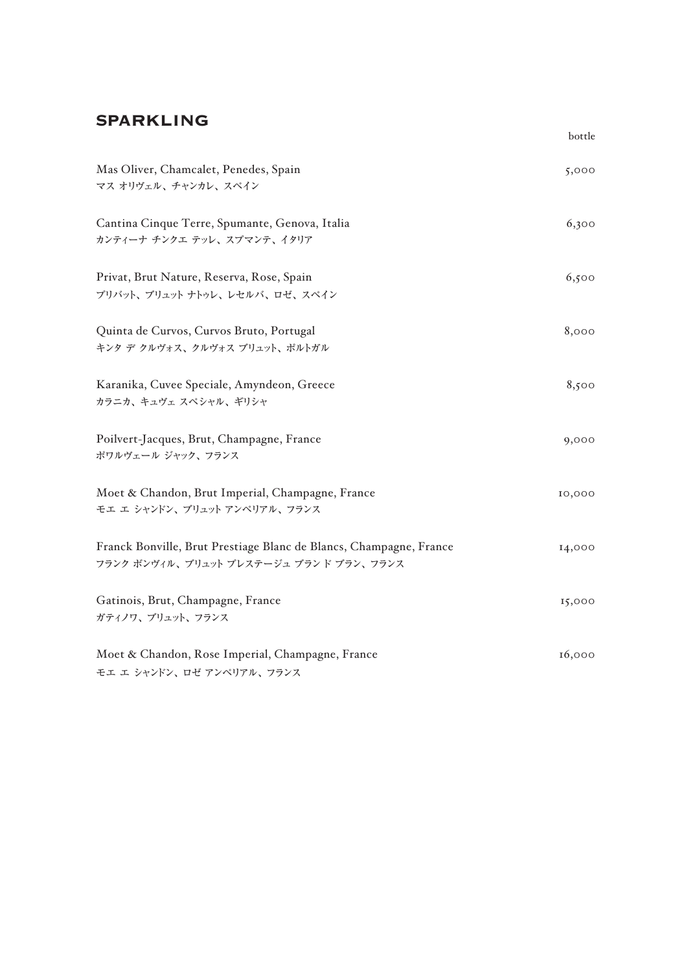#### SPARKLING

|                                                                                                              | bottle |
|--------------------------------------------------------------------------------------------------------------|--------|
| Mas Oliver, Chamcalet, Penedes, Spain<br>マス オリヴェル、チャンカレ、スペイン                                                 | 5,000  |
| Cantina Cinque Terre, Spumante, Genova, Italia<br>カンティーナ チンクエ テッレ、スプマンテ、イタリア                                 | 6,300  |
| Privat, Brut Nature, Reserva, Rose, Spain<br>プリバット、ブリュット ナトゥレ、レセルバ、ロゼ、スペイン                                   | 6,500  |
| Quinta de Curvos, Curvos Bruto, Portugal<br>キンタ デ クルヴォス、クルヴォス ブリュット、ポルトガル                                    | 8,000  |
| Karanika, Cuvee Speciale, Amyndeon, Greece<br>カラニカ、キュヴェ スペシャル、ギリシャ                                           | 8,500  |
| Poilvert-Jacques, Brut, Champagne, France<br>ポワルヴェール ジャック、フランス                                               | 9,000  |
| Moet & Chandon, Brut Imperial, Champagne, France<br>モエ エ シャンドン、ブリュット アンペリアル、フランス                             | 10,000 |
| Franck Bonville, Brut Prestiage Blanc de Blancs, Champagne, France<br>フランク ボンヴィル、ブリュット プレステージュ ブランド ブラン、フランス | 14,000 |
| Gatinois, Brut, Champagne, France<br>ガティノワ、ブリュット、フランス                                                        | 15,000 |
| Moet & Chandon, Rose Imperial, Champagne, France<br>モエ エ シャンドン、ロゼ アンペリアル、フランス                                | 16,000 |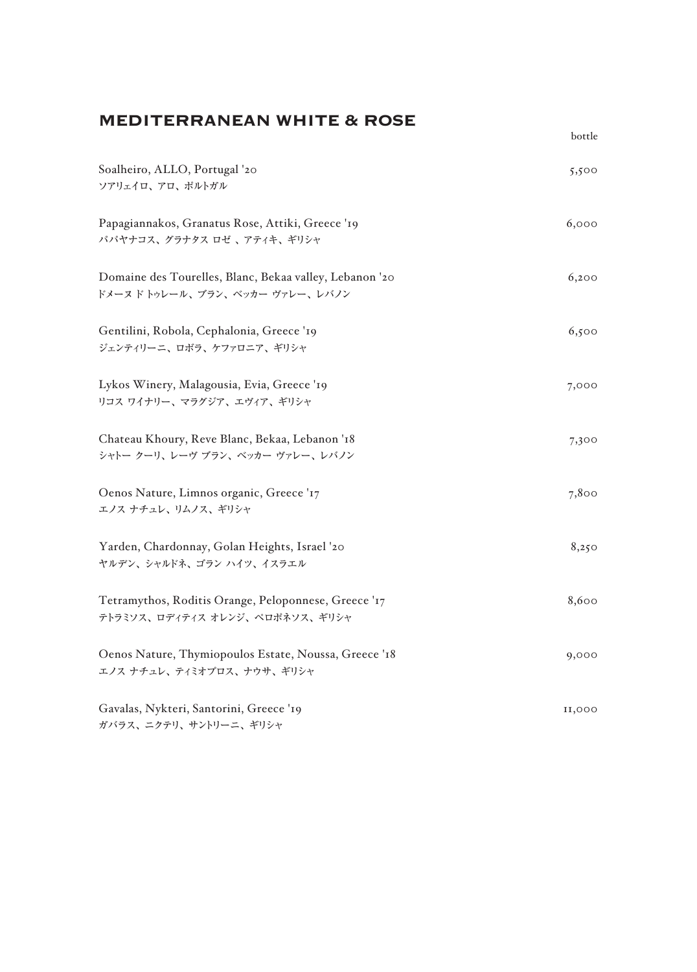### MEDITERRANEAN WHITE & ROSE

| Soalheiro, ALLO, Portugal '20<br>ソアリェイロ、アロ、ポルトガル                                         | 5,500  |
|------------------------------------------------------------------------------------------|--------|
| Papagiannakos, Granatus Rose, Attiki, Greece '19<br>パパヤナコス、グラナタス ロゼ、アティキ、ギリシャ            | 6,000  |
| Domaine des Tourelles, Blanc, Bekaa valley, Lebanon '20<br>ドメーヌドトゥレール、ブラン、ベッカー ヴァレー、レバノン | 6,200  |
| Gentilini, Robola, Cephalonia, Greece '19<br>ジェンティリーニ、ロボラ、ケファロニア、ギリシャ                    | 6,500  |
| Lykos Winery, Malagousia, Evia, Greece '19<br>リコス ワイナリー、マラグジア、エヴィア、ギリシャ                  | 7,000  |
| Chateau Khoury, Reve Blanc, Bekaa, Lebanon '18<br>シャトー クーリ、レーヴ ブラン、ベッカー ヴァレー、レバノン        | 7,300  |
| Oenos Nature, Limnos organic, Greece '17<br>エノス ナチュレ、リムノス、ギリシャ                           | 7,800  |
| Yarden, Chardonnay, Golan Heights, Israel '20<br>ヤルデン、シャルドネ、ゴラン ハイツ、イスラエル                | 8,250  |
| Tetramythos, Roditis Orange, Peloponnese, Greece '17<br>テトラミソス、ロディティス オレンジ、ペロポネソス、ギリシャ   | 8,600  |
| Oenos Nature, Thymiopoulos Estate, Noussa, Greece '18<br>エノス ナチュレ、ティミオプロス、ナウサ、ギリシャ       | 9,000  |
| Gavalas, Nykteri, Santorini, Greece '19<br>ガバラス、ニクテリ、サントリーニ、ギリシャ                         | 11,000 |

bottle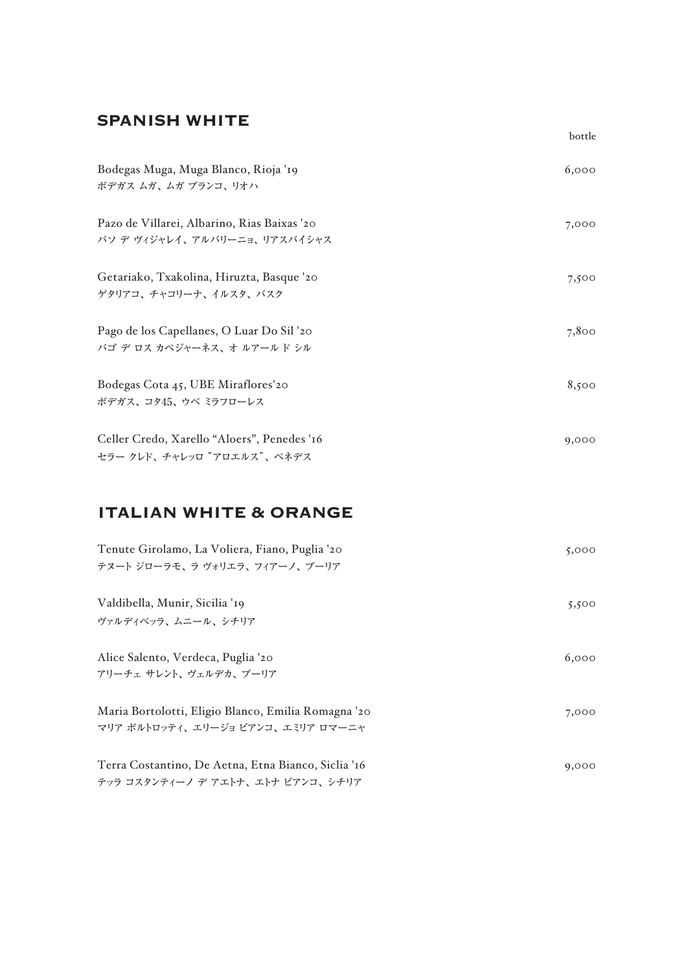#### SPANISH WHITE

| Bodegas Muga, Muga Blanco, Rioja '19<br>ボデガス ムガ、ムガ ブランコ、リオハ                 | 6,000 |
|-----------------------------------------------------------------------------|-------|
| Pazo de Villarei, Albarino, Rias Baixas '20<br>パソ デ ヴィジャレイ、アルバリーニョ、リアスバイシャス | 7,000 |
| Getariako, Txakolina, Hiruzta, Basque '20<br>ゲタリアコ、チャコリーナ、イルスタ、バスク          | 7,500 |
| Pago de los Capellanes, O Luar Do Sil '20<br>パゴ デ ロス カペジャーネス、オ ルアールド シル     | 7,800 |
| Bodegas Cota 45, UBE Miraflores'20<br>ボデガス、コタ45、ウベ ミラフローレス                  | 8,500 |
| Celler Credo, Xarello "Aloers", Penedes '16<br>セラー クレド、チャレッロ "アロエルス"、ペネデス   | 9,000 |

bottle

# ITALIAN WHITE & ORANGE

| Tenute Girolamo, La Voliera, Fiano, Puglia '20<br>テヌート ジローラモ、ラ ヴォリエラ、フィアーノ、 プーリア           | 5,000 |
|--------------------------------------------------------------------------------------------|-------|
| Valdibella, Munir, Sicilia '19<br>ヴァルディベッラ、ムニール、シチリア                                       | 5,500 |
| Alice Salento, Verdeca, Puglia '20<br>アリーチェサレント、ヴェルデカ、プーリア                                 | 6,000 |
| Maria Bortolotti, Eligio Blanco, Emilia Romagna '20<br>マリア ボルトロッティ、 エリージョ ビアンコ、 エミリア ロマーニャ | 7,000 |
| Terra Costantino, De Aetna, Etna Bianco, Siclia '16<br>テッラ コスタンティーノ デ アエトナ、エトナ ビアンコ、 シチリア  | 9,000 |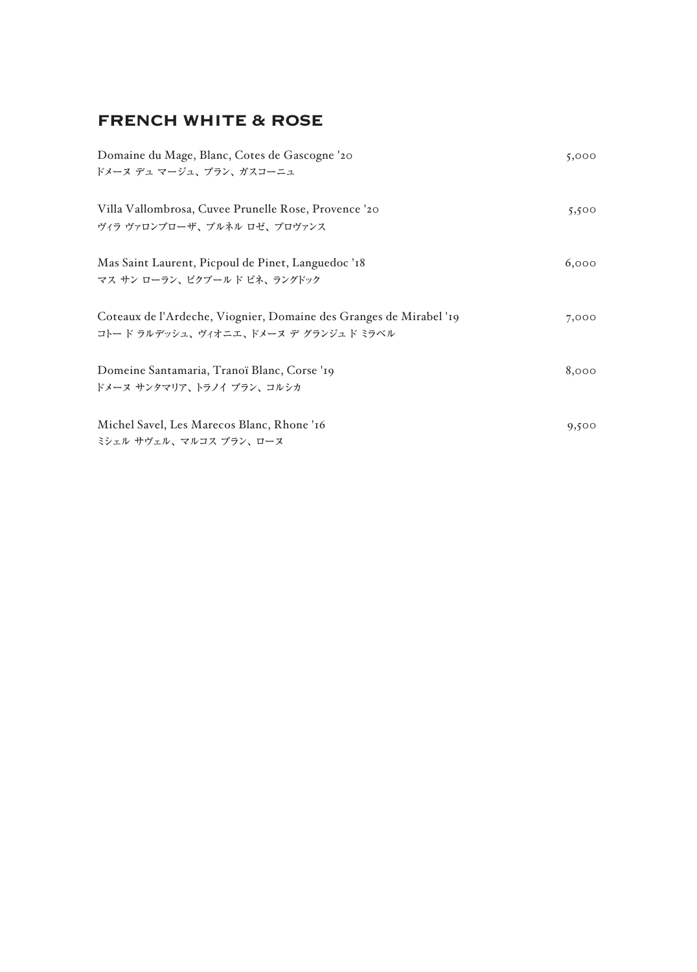# FRENCH WHITE & ROSE

| Domaine du Mage, Blanc, Cotes de Gascogne '20                      | 5,000 |
|--------------------------------------------------------------------|-------|
| ドメーヌ デュ マージュ、ブラン、ガスコーニュ                                            |       |
|                                                                    |       |
| Villa Vallombrosa, Cuvee Prunelle Rose, Provence '20               | 5,500 |
| ヴィラ ヴァロンブローザ、プルネル ロゼ、プロヴァンス                                        |       |
|                                                                    |       |
| Mas Saint Laurent, Picpoul de Pinet, Languedoc '18                 | 6,000 |
| マス サン ローラン、ピクプールド ピネ、ラングドック                                        |       |
| Coteaux de l'Ardeche, Viognier, Domaine des Granges de Mirabel '19 | 7,000 |
| コトード ラルデッシュ、ヴィオニエ、ドメーヌ デ グランジュド ミラベル                               |       |
|                                                                    |       |
| Domeine Santamaria, Tranoï Blanc, Corse '19                        | 8,000 |
| ドメーヌ サンタマリア、トラノイ ブラン、コルシカ                                          |       |
|                                                                    |       |
| Michel Savel, Les Marecos Blanc, Rhone '16                         | 9,500 |
| ミシェル サヴェル、マルコス ブラン、ローヌ                                             |       |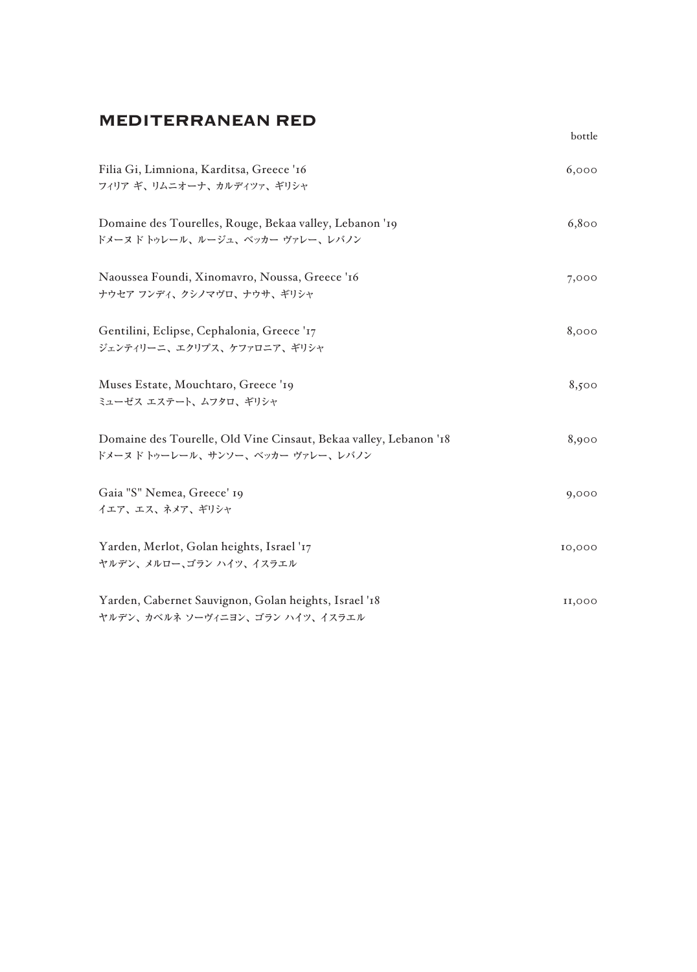# MEDITERRANEAN RED

| Filia Gi, Limniona, Karditsa, Greece '16<br>フィリア ギ、リムニオーナ、カルディツァ、ギリシャ                                  | 6,000  |
|--------------------------------------------------------------------------------------------------------|--------|
| Domaine des Tourelles, Rouge, Bekaa valley, Lebanon '19<br>ドメーヌドトゥレール、ルージュ、ベッカー ヴァレー、レバノン              | 6,800  |
| Naoussea Foundi, Xinomavro, Noussa, Greece '16<br>ナウセア フンディ、クシノマヴロ、ナウサ、ギリシャ                            | 7,000  |
| Gentilini, Eclipse, Cephalonia, Greece '17<br>ジェンティリーニ、エクリプス、ケファロニア、ギリシャ                               | 8,000  |
| Muses Estate, Mouchtaro, Greece '19<br>ミューゼス エステート、ムフタロ、ギリシャ                                           | 8,500  |
| Domaine des Tourelle, Old Vine Cinsaut, Bekaa valley, Lebanon '18<br>ドメーヌ ド トゥーレール、サンソー、ベッカー ヴァレー、レバノン | 8,900  |
| Gaia "S" Nemea, Greece' 19<br>イエア、エス、ネメア、ギリシャ                                                          | 9,000  |
| Yarden, Merlot, Golan heights, Israel '17<br>ヤルデン、メルロー、ゴラン ハイツ、イスラエル                                   | 10,000 |
| Yarden, Cabernet Sauvignon, Golan heights, Israel '18<br>ヤルデン、カベルネ ソーヴィニヨン、ゴラン ハイツ、イスラエル               | 11,000 |

bottle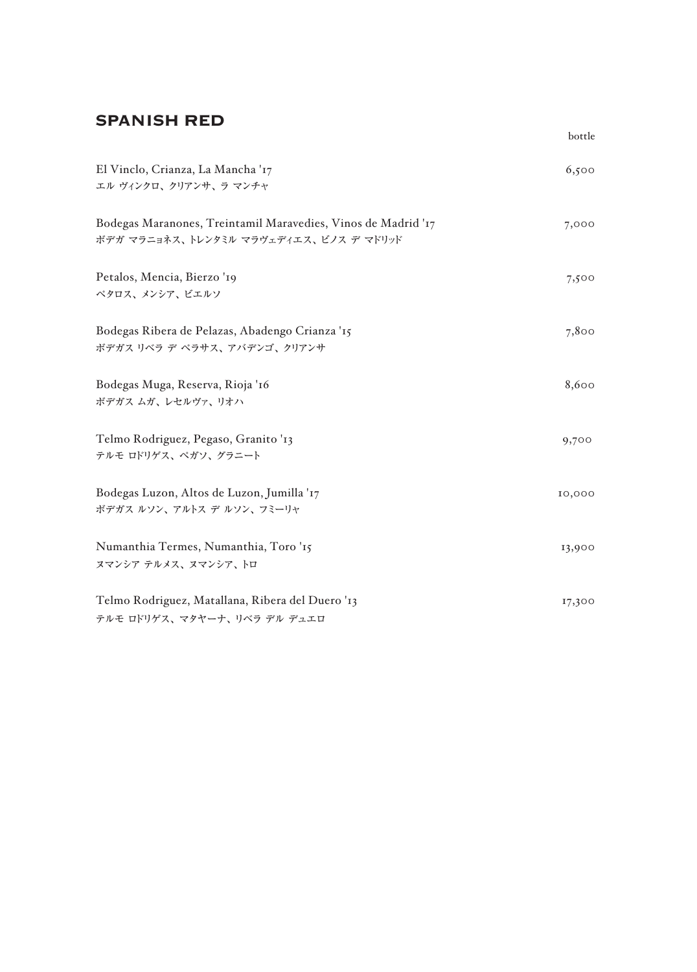#### SPANISH RED

|                                                                                                         | bottle |
|---------------------------------------------------------------------------------------------------------|--------|
| El Vinclo, Crianza, La Mancha '17<br>エル ヴィンクロ、クリアンサ、ラ マンチャ                                              | 6,500  |
| Bodegas Maranones, Treintamil Maravedies, Vinos de Madrid '17<br>ボデガ マラニョネス、トレンタミル マラヴェディエス、ビノス デ マドリッド | 7,000  |
| Petalos, Mencia, Bierzo '19<br>ペタロス、メンシア、ビエルソ                                                           | 7,500  |
| Bodegas Ribera de Pelazas, Abadengo Crianza '15<br>ボデガス リベラ デ ペラサス、アバデンゴ、クリアンサ                          | 7,800  |
| Bodegas Muga, Reserva, Rioja '16<br>ボデガス ムガ、レセルヴァ、リオハ                                                   | 8,600  |
| Telmo Rodriguez, Pegaso, Granito '13<br>テルモ ロドリゲス、ペガソ、グラニート                                             | 9,700  |
| Bodegas Luzon, Altos de Luzon, Jumilla '17<br>ボデガス ルソン、アルトス デ ルソン、フミーリャ                                 | 10,000 |
| Numanthia Termes, Numanthia, Toro '15<br>ヌマンシア テルメス、ヌマンシア、トロ                                            | 13,900 |
| Telmo Rodriguez, Matallana, Ribera del Duero '13<br>テルモ ロドリゲス、マタヤーナ、リベラ デル デュエロ                         | 17,300 |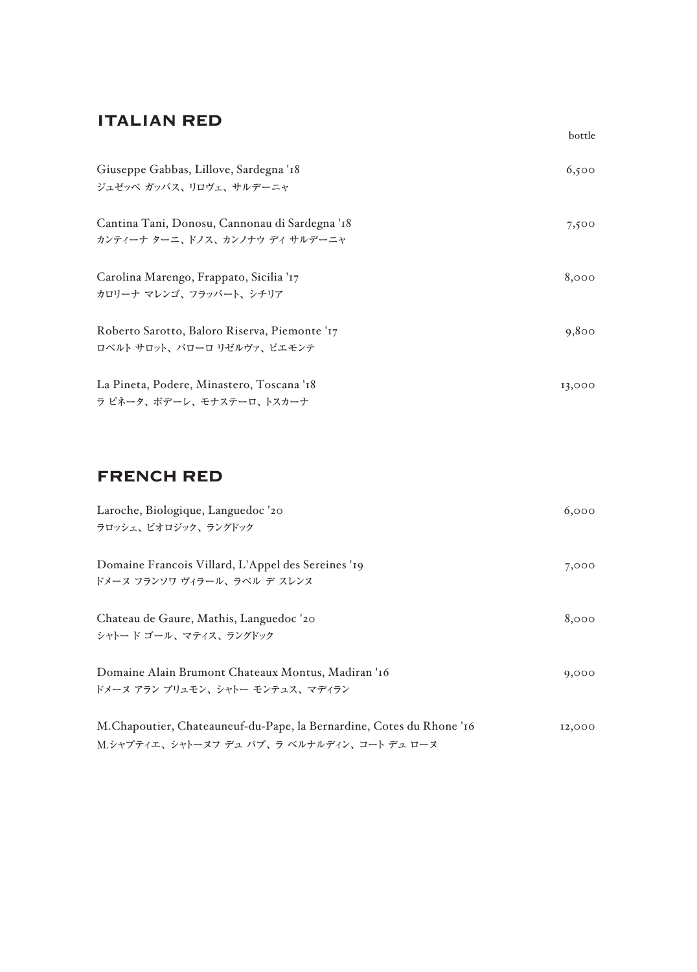#### ITALIAN RED

| Giuseppe Gabbas, Lillove, Sardegna '18         | 6,500  |
|------------------------------------------------|--------|
| ジュゼッペ ガッバス、リロヴェ、サルデーニャ                         |        |
| Cantina Tani, Donosu, Cannonau di Sardegna '18 | 7,500  |
| カンティーナ ターニ、ドノス、カンノナウ ディ サルデーニャ                 |        |
| Carolina Marengo, Frappato, Sicilia '17        | 8,000  |
| カロリーナ マレンゴ、フラッパート、シチリア                         |        |
| Roberto Sarotto, Baloro Riserva, Piemonte '17  | 9,800  |
| ロベルト サロット、バローロリゼルヴァ、ピエモンテ                      |        |
| La Pineta, Podere, Minastero, Toscana '18      | 13,000 |
| ラ ピネータ、ポデーレ、モナステーロ、トスカーナ                       |        |

bottle

#### FRENCH RED

| Laroche, Biologique, Languedoc '20<br>ラロッシェ、ビオロジック、ラングドック                                                           | 6,000  |
|---------------------------------------------------------------------------------------------------------------------|--------|
| Domaine Francois Villard, L'Appel des Sereines '19<br>ドメーヌ フランソワ ヴィラール、ラペル デ スレンヌ                                   | 7,000  |
| Chateau de Gaure, Mathis, Languedoc '20<br>シャトード ゴール、マティス、ラングドック                                                    | 8,000  |
| Domaine Alain Brumont Chateaux Montus, Madiran '16<br>ドメーヌ アラン ブリュモン、 シャトー モンテュス、 マディラン                             | 9,000  |
| M. Chapoutier, Chateauneuf-du-Pape, la Bernardine, Cotes du Rhone '16<br>M.シャプティエ、シャトーヌフ デュ パプ、ラ ベルナルディン、コート デュ ローヌ | 12,000 |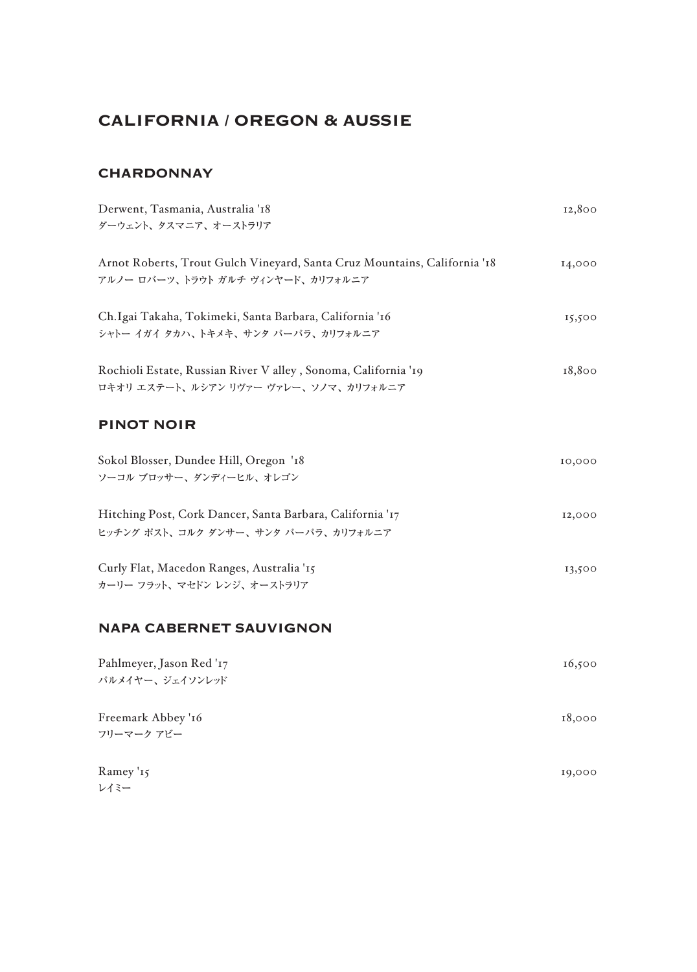# CALIFORNIA / OREGON & AUSSIE

#### **CHARDONNAY**

| Derwent, Tasmania, Australia '18<br>ダーウェント、タスマニア、オーストラリア                                                       | 12,800 |
|----------------------------------------------------------------------------------------------------------------|--------|
| Arnot Roberts, Trout Gulch Vineyard, Santa Cruz Mountains, California '18<br>アルノー ロバーツ、トラウト ガルチ ヴィンヤード、カリフォルニア | 14,000 |
| Ch.Igai Takaha, Tokimeki, Santa Barbara, California '16<br>シャトー イガイ タカハ、トキメキ、サンタ バーバラ、カリフォルニア                  | 15,500 |
| Rochioli Estate, Russian River V alley, Sonoma, California '19<br>ロキオリ エステート、ルシアン リヴァー ヴァレー、ソノマ、カリフォルニア        | 18,800 |
| <b>PINOT NOIR</b>                                                                                              |        |
| Sokol Blosser, Dundee Hill, Oregon '18<br>ソーコル ブロッサー、ダンディーヒル、オレゴン                                              | 10,000 |
| Hitching Post, Cork Dancer, Santa Barbara, California '17<br>ヒッチング ポスト、コルク ダンサー、サンタ バーバラ、カリフォルニア               | 12,000 |
| Curly Flat, Macedon Ranges, Australia '15<br>カーリー フラット、マセドン レンジ、オーストラリア                                        | 13,500 |
| <b>NAPA CABERNET SAUVIGNON</b>                                                                                 |        |
| Pahlmeyer, Jason Red '17<br>パルメイヤー、ジェイソンレッド                                                                    | 16,500 |
| Freemark Abbey '16<br>フリーマーク アビー                                                                               | 18,000 |
| Ramey '15<br>レイミー                                                                                              | 19,000 |